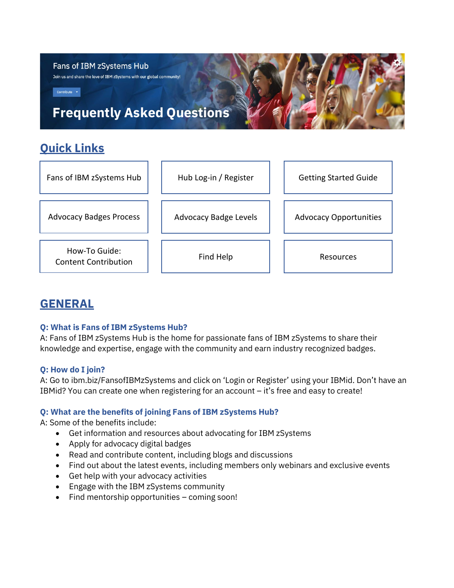

| Advocacy Badges Process |  |
|-------------------------|--|

How-To Guide: The Tow To Guide.<br> [Content Contribution](https://www.ibm.com/community/z/contribute/)  $\begin{vmatrix} 1 & 1 \end{vmatrix}$  [Find Help](https://www.ibm.com/community/z/fans-of-ibm-zsystems-need-help/)  $\begin{vmatrix} 1 & 1 \end{vmatrix}$  [Resources](https://www.ibm.com/community/z/resources/)

[Advocacy Badge Levels](https://www.ibm.com/community/z/wp-content/uploads/sites/14/2021/03/IBM-Z-Active-Advocate-Badges.pdf?v=2)  $\parallel$  [Advocacy Opportunities](https://www.ibm.com/community/z/usergroups/fans-of-ibm-zsystems/docs/advocacy-opportunities)

# **GENERAL**

# **Q: What is Fans of IBM zSystems Hub?**

A: Fans of IBM zSystems Hub is the home for passionate fans of IBM zSystems to share their knowledge and expertise, engage with the community and earn industry recognized badges.

# **Q: How do I join?**

A: Go to ibm.biz/FansofIBMzSystems and click on 'Login or Register' using your IBMid. Don't have an IBMid? You can create one when registering for an account – it's free and easy to create!

# **Q: What are the benefits of joining Fans of IBM zSystems Hub?**

A: Some of the benefits include:

- Get information and resources about advocating for IBM zSystems
- Apply for advocacy digital badges
- Read and contribute content, including blogs and discussions
- Find out about the latest events, including members only webinars and exclusive events
- Get help with your advocacy activities
- Engage with the IBM zSystems community
- Find mentorship opportunities coming soon!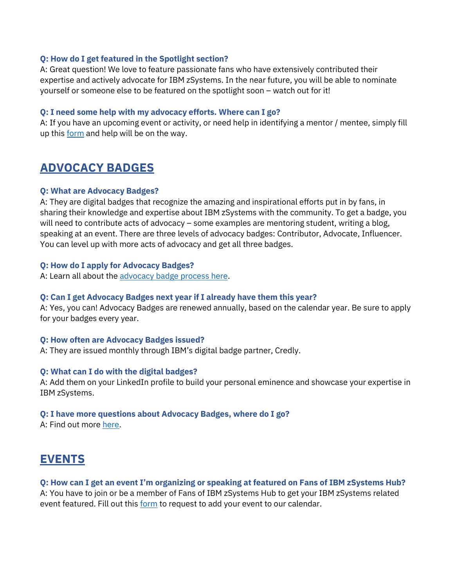#### **Q: How do I get featured in the Spotlight section?**

A: Great question! We love to feature passionate fans who have extensively contributed their expertise and actively advocate for IBM zSystems. In the near future, you will be able to nominate yourself or someone else to be featured on the spotlight soon – watch out for it!

### **Q: I need some help with my advocacy efforts. Where can I go?**

A: If you have an upcoming event or activity, or need help in identifying a mentor / mentee, simply fill up this [form](https://www.ibm.com/community/z/fans-of-ibm-zsystems-need-help/) and help will be on the way.

# **ADVOCACY BADGES**

#### **Q: What are Advocacy Badges?**

A: They are digital badges that recognize the amazing and inspirational efforts put in by fans, in sharing their knowledge and expertise about IBM zSystems with the community. To get a badge, you will need to contribute acts of advocacy – some examples are mentoring student, writing a blog, speaking at an event. There are three levels of advocacy badges: Contributor, Advocate, Influencer. You can level up with more acts of advocacy and get all three badges.

#### **Q: How do I apply for Advocacy Badges?**

A: Learn all about the [advocacy badge process here.](https://www.ibm.com/community/z/ibm-zsystems-advocacy-badge-process/)

#### **Q: Can I get Advocacy Badges next year if I already have them this year?**

A: Yes, you can! Advocacy Badges are renewed annually, based on the calendar year. Be sure to apply for your badges every year.

#### **Q: How often are Advocacy Badges issued?**

A: They are issued monthly through IBM's digital badge partner, Credly.

### **Q: What can I do with the digital badges?**

A: Add them on your LinkedIn profile to build your personal eminence and showcase your expertise in IBM zSystems.

### **Q: I have more questions about Advocacy Badges, where do I go?**

A: Find out more [here.](https://www.ibm.com/community/z/ibm-zsystems-advocacy-badge-process/)

# **EVENTS**

### **Q: How can I get an event I'm organizing or speaking at featured on Fans of IBM zSystems Hub?**

A: You have to join or be a member of Fans of IBM zSystems Hub to get your IBM zSystems related event featured. Fill out this [form](https://www.ibm.com/community/z/request-new-event/) to request to add your event to our calendar.